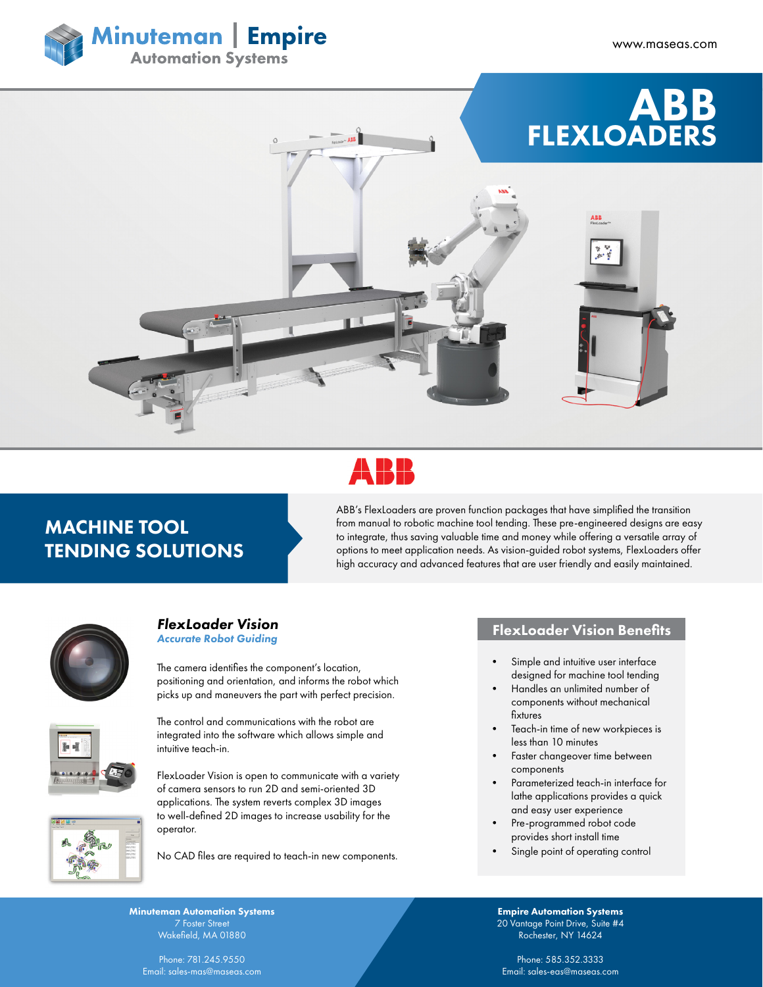





## MACHINE TOOL TENDING SOLUTIONS

ABB's FlexLoaders are proven function packages that have simplified the transition from manual to robotic machine tool tending. These pre-engineered designs are easy to integrate, thus saving valuable time and money while offering a versatile array of options to meet application needs. As vision-guided robot systems, FlexLoaders offer high accuracy and advanced features that are user friendly and easily maintained.



# *FlexLoader Vision*

Minuteman Automation Systems Wakefield, MA 01880 Phone: 781.245.9550 Email: sales-mas@maseas.com

*Accurate Robot Guiding*

The camera identifies the component's location, positioning and orientation, and informs the robot which picks up and maneuvers the part with perfect precision.



The control and communications with the robot are integrated into the software which allows simple and intuitive teach-in.

FlexLoader Vision is open to communicate with a variety of camera sensors to run 2D and semi-oriented 3D applications. The system reverts complex 3D images to well-defined 2D images to increase usability for the operator.

No CAD files are required to teach-in new components.

### FlexLoader Vision Benefits

- Simple and intuitive user interface designed for machine tool tending
- Handles an unlimited number of components without mechanical fixtures
- Teach-in time of new workpieces is less than 10 minutes
- Faster changeover time between components
- Parameterized teach-in interface for lathe applications provides a quick and easy user experience
- Pre-programmed robot code provides short install time
- Single point of operating control

Empire Automation Systems 20 Vantage Point Drive, Suite #4 Rochester, NY 14624

Phone: 585.352.3333 Email: sales-eas@maseas.com